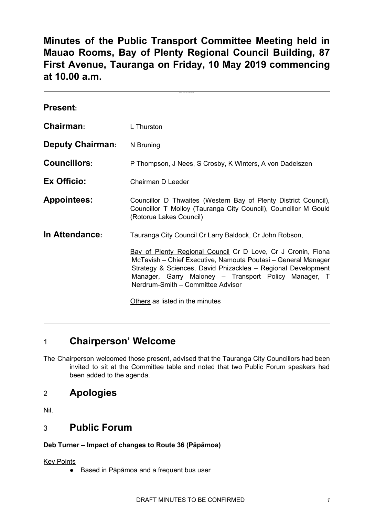**Minutes of the Public Transport Committee Meeting held in Mauao Rooms, Bay of Plenty Regional Council Building, 87 First Avenue, Tauranga on Friday, 10 May 2019 commencing at 10.00 a.m.**

**Click here to enter text.**

| <b>Present:</b>         |                                                                                                                                                                                                                                                                                            |  |
|-------------------------|--------------------------------------------------------------------------------------------------------------------------------------------------------------------------------------------------------------------------------------------------------------------------------------------|--|
| Chairman:               | L Thurston                                                                                                                                                                                                                                                                                 |  |
| <b>Deputy Chairman:</b> | N Bruning                                                                                                                                                                                                                                                                                  |  |
| <b>Councillors:</b>     | P Thompson, J Nees, S Crosby, K Winters, A von Dadelszen                                                                                                                                                                                                                                   |  |
| Ex Officio:             | Chairman D Leeder                                                                                                                                                                                                                                                                          |  |
| <b>Appointees:</b>      | Councillor D Thwaites (Western Bay of Plenty District Council),<br>Councillor T Molloy (Tauranga City Council), Councillor M Gould<br>(Rotorua Lakes Council)                                                                                                                              |  |
| In Attendance:          | Tauranga City Council Cr Larry Baldock, Cr John Robson,                                                                                                                                                                                                                                    |  |
|                         | Bay of Plenty Regional Council Cr D Love, Cr J Cronin, Fiona<br>McTavish - Chief Executive, Namouta Poutasi - General Manager<br>Strategy & Sciences, David Phizacklea - Regional Development<br>Manager, Garry Maloney – Transport Policy Manager, T<br>Nerdrum-Smith - Committee Advisor |  |
|                         | Others as listed in the minutes                                                                                                                                                                                                                                                            |  |

# 1 **Chairperson' Welcome**

The Chairperson welcomed those present, advised that the Tauranga City Councillors had been invited to sit at the Committee table and noted that two Public Forum speakers had been added to the agenda.

# 2 **Apologies**

Nil.

# 3 **Public Forum**

### **Deb Turner – Impact of changes to Route 36 (Pāpāmoa)**

Key Points

● Based in Pāpāmoa and a frequent bus user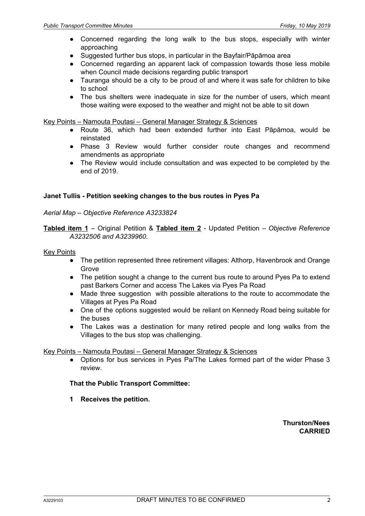- Concerned regarding the long walk to the bus stops, especially with winter approaching
- Suggested further bus stops, in particular in the Bayfair/Pāpāmoa area
- Concerned regarding an apparent lack of compassion towards those less mobile when Council made decisions regarding public transport
- Tauranga should be a city to be proud of and where it was safe for children to bike to school
- The bus shelters were inadequate in size for the number of users, which meant those waiting were exposed to the weather and might not be able to sit down

Key Points – Namouta Poutasi – General Manager Strategy & Sciences

- Route 36, which had been extended further into East Pāpāmoa, would be reinstated
- Phase 3 Review would further consider route changes and recommend amendments as appropriate
- The Review would include consultation and was expected to be completed by the end of 2019.

#### **Janet Tullis - Petition seeking changes to the bus routes in Pyes Pa**

#### *Aerial Map – Objective Reference A3233824*

**Tabled item 1** – Original Petition & **Tabled item 2** - Updated Petition – *Objective Reference A3232506 and A3239960*.

#### Key Points

- The petition represented three retirement villages: Althorp, Havenbrook and Orange Grove
- The petition sought a change to the current bus route to around Pyes Pa to extend past Barkers Corner and access The Lakes via Pyes Pa Road
- Made three suggestion with possible alterations to the route to accommodate the Villages at Pyes Pa Road
- One of the options suggested would be reliant on Kennedy Road being suitable for the buses
- The Lakes was a destination for many retired people and long walks from the Villages to the bus stop was challenging.

#### Key Points – Namouta Poutasi – General Manager Strategy & Sciences

• Options for bus services in Pyes Pa/The Lakes formed part of the wider Phase 3 review.

#### **That the Public Transport Committee:**

**1 Receives the petition.**

**Thurston/Nees CARRIED**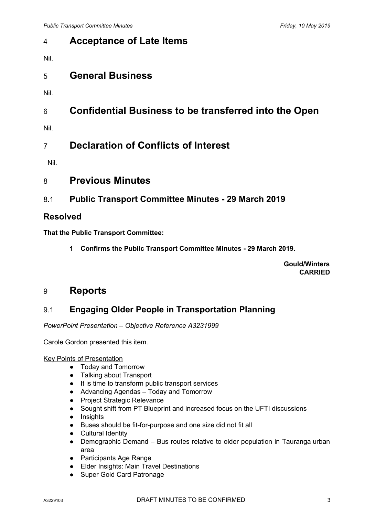# 4 **Acceptance of Late Items**

Nil.

# 5 **General Business**

- Nil.
- 6 **Confidential Business to be transferred into the Open**
- Nil.

# 7 **Declaration of Conflicts of Interest**

Nil.

- 8 **Previous Minutes**
- 8.1 **Public Transport Committee Minutes - 29 March 2019**

## **Resolved**

**That the Public Transport Committee:**

**1 Confirms the Public Transport Committee Minutes - 29 March 2019.**

**Gould/Winters CARRIED**

# 9 **Reports**

# 9.1 **Engaging Older People in Transportation Planning**

*PowerPoint Presentation – Objective Reference A3231999*

Carole Gordon presented this item.

#### Key Points of Presentation

- Today and Tomorrow
- Talking about Transport
- It is time to transform public transport services
- Advancing Agendas Today and Tomorrow
- **Project Strategic Relevance**
- Sought shift from PT Blueprint and increased focus on the UFTI discussions
- Insights
- Buses should be fit-for-purpose and one size did not fit all
- Cultural Identity
- Demographic Demand Bus routes relative to older population in Tauranga urban area
- Participants Age Range
- Elder Insights: Main Travel Destinations
- Super Gold Card Patronage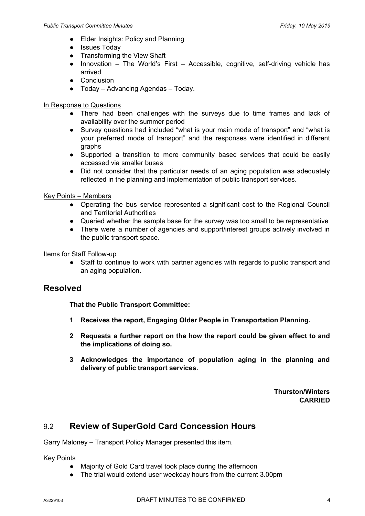- **Elder Insights: Policy and Planning**
- Issues Today
- **Transforming the View Shaft**
- Innovation The World's First Accessible, cognitive, self-driving vehicle has arrived
- Conclusion
- Today Advancing Agendas Today.

#### In Response to Questions

- There had been challenges with the surveys due to time frames and lack of availability over the summer period
- Survey questions had included "what is your main mode of transport" and "what is your preferred mode of transport" and the responses were identified in different graphs
- Supported a transition to more community based services that could be easily accessed via smaller buses
- Did not consider that the particular needs of an aging population was adequately reflected in the planning and implementation of public transport services.

#### Key Points – Members

- Operating the bus service represented a significant cost to the Regional Council and Territorial Authorities
- Queried whether the sample base for the survey was too small to be representative
- There were a number of agencies and support/interest groups actively involved in the public transport space.

Items for Staff Follow-up

● Staff to continue to work with partner agencies with regards to public transport and an aging population.

### **Resolved**

**That the Public Transport Committee:**

- **1 Receives the report, Engaging Older People in Transportation Planning.**
- **2 Requests a further report on the how the report could be given effect to and the implications of doing so.**
- **3 Acknowledges the importance of population aging in the planning and delivery of public transport services.**

**Thurston/Winters CARRIED**

# 9.2 **Review of SuperGold Card Concession Hours**

Garry Maloney – Transport Policy Manager presented this item.

**Key Points** 

- Majority of Gold Card travel took place during the afternoon
- The trial would extend user weekday hours from the current 3.00pm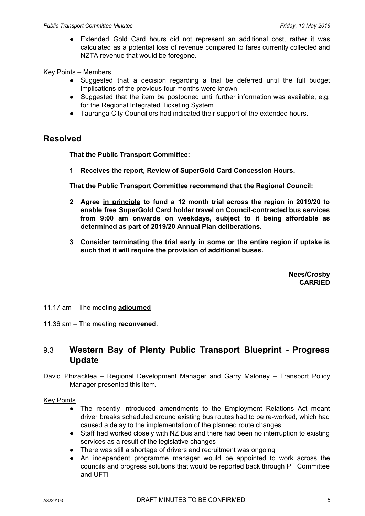Extended Gold Card hours did not represent an additional cost, rather it was calculated as a potential loss of revenue compared to fares currently collected and NZTA revenue that would be foregone.

#### Key Points – Members

- Suggested that a decision regarding a trial be deferred until the full budget implications of the previous four months were known
- Suggested that the item be postponed until further information was available, e.g. for the Regional Integrated Ticketing System
- Tauranga City Councillors had indicated their support of the extended hours.

### **Resolved**

**That the Public Transport Committee:**

**1 Receives the report, Review of SuperGold Card Concession Hours.**

**That the Public Transport Committee recommend that the Regional Council:**

- **2 Agree in principle to fund a 12 month trial across the region in 2019/20 to enable free SuperGold Card holder travel on Council-contracted bus services from 9:00 am onwards on weekdays, subject to it being affordable as determined as part of 2019/20 Annual Plan deliberations.**
- **3 Consider terminating the trial early in some or the entire region if uptake is such that it will require the provision of additional buses.**

**Nees/Crosby CARRIED**

11.17 am – The meeting **adjourned**

11.36 am – The meeting **reconvened**.

## 9.3 **Western Bay of Plenty Public Transport Blueprint - Progress Update**

David Phizacklea – Regional Development Manager and Garry Maloney – Transport Policy Manager presented this item.

#### **Key Points**

- The recently introduced amendments to the Employment Relations Act meant driver breaks scheduled around existing bus routes had to be re-worked, which had caused a delay to the implementation of the planned route changes
- Staff had worked closely with NZ Bus and there had been no interruption to existing services as a result of the legislative changes
- There was still a shortage of drivers and recruitment was ongoing
- An independent programme manager would be appointed to work across the councils and progress solutions that would be reported back through PT Committee and UFTI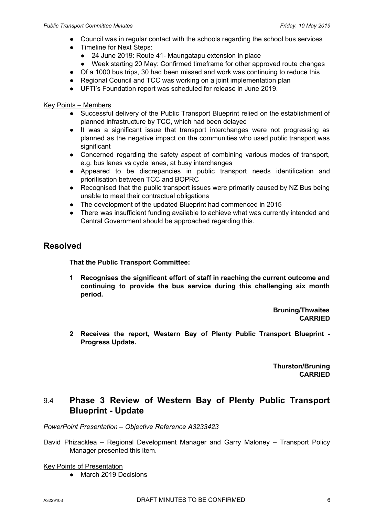- Council was in regular contact with the schools regarding the school bus services
- Timeline for Next Steps:
	- 24 June 2019: Route 41- Maungatapu extension in place
	- Week starting 20 May: Confirmed timeframe for other approved route changes
- Of a 1000 bus trips, 30 had been missed and work was continuing to reduce this
- Regional Council and TCC was working on a joint implementation plan
- UFTI's Foundation report was scheduled for release in June 2019.

### Key Points – Members

- Successful delivery of the Public Transport Blueprint relied on the establishment of planned infrastructure by TCC, which had been delayed
- It was a significant issue that transport interchanges were not progressing as planned as the negative impact on the communities who used public transport was significant
- Concerned regarding the safety aspect of combining various modes of transport, e.g. bus lanes vs cycle lanes, at busy interchanges
- Appeared to be discrepancies in public transport needs identification and prioritisation between TCC and BOPRC
- Recognised that the public transport issues were primarily caused by NZ Bus being unable to meet their contractual obligations
- The development of the updated Blueprint had commenced in 2015
- There was insufficient funding available to achieve what was currently intended and Central Government should be approached regarding this.

## **Resolved**

**That the Public Transport Committee:**

**1 Recognises the significant effort of staff in reaching the current outcome and continuing to provide the bus service during this challenging six month period.**

> **Bruning/Thwaites CARRIED**

**2 Receives the report, Western Bay of Plenty Public Transport Blueprint - Progress Update.**

> **Thurston/Bruning CARRIED**

## 9.4 **Phase 3 Review of Western Bay of Plenty Public Transport Blueprint - Update**

*PowerPoint Presentation – Objective Reference A3233423*

David Phizacklea – Regional Development Manager and Garry Maloney – Transport Policy Manager presented this item.

Key Points of Presentation

● March 2019 Decisions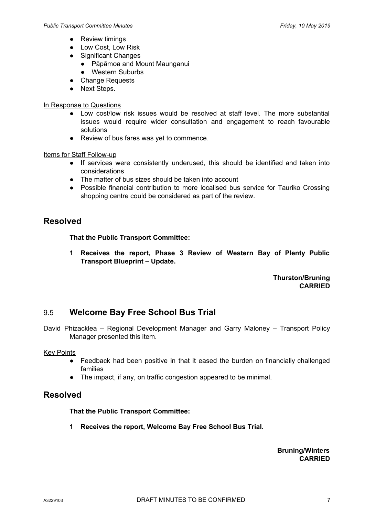- Review timings
- Low Cost, Low Risk
- Significant Changes
	- Pāpāmoa and Mount Maunganui
	- Western Suburbs
- Change Requests
- Next Steps.

### In Response to Questions

- Low cost/low risk issues would be resolved at staff level. The more substantial issues would require wider consultation and engagement to reach favourable solutions
- Review of bus fares was yet to commence.

#### Items for Staff Follow-up

- If services were consistently underused, this should be identified and taken into considerations
- The matter of bus sizes should be taken into account
- Possible financial contribution to more localised bus service for Tauriko Crossing shopping centre could be considered as part of the review.

## **Resolved**

#### **That the Public Transport Committee:**

**1 Receives the report, Phase 3 Review of Western Bay of Plenty Public Transport Blueprint – Update.**

> **Thurston/Bruning CARRIED**

# 9.5 **Welcome Bay Free School Bus Trial**

David Phizacklea – Regional Development Manager and Garry Maloney – Transport Policy Manager presented this item.

#### Key Points

- Feedback had been positive in that it eased the burden on financially challenged families
- The impact, if any, on traffic congestion appeared to be minimal.

# **Resolved**

#### **That the Public Transport Committee:**

**1 Receives the report, Welcome Bay Free School Bus Trial.**

**Bruning/Winters CARRIED**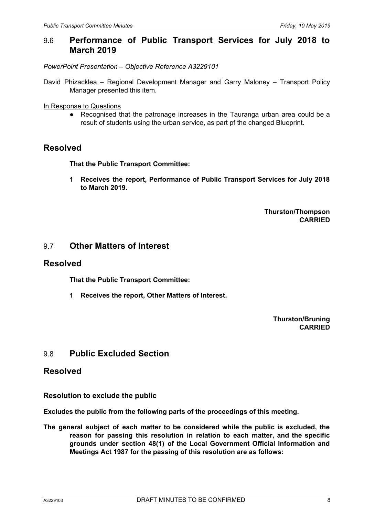### 9.6 **Performance of Public Transport Services for July 2018 to March 2019**

*PowerPoint Presentation – Objective Reference A3229101*

David Phizacklea – Regional Development Manager and Garry Maloney – Transport Policy Manager presented this item.

In Response to Questions

● Recognised that the patronage increases in the Tauranga urban area could be a result of students using the urban service, as part pf the changed Blueprint.

## **Resolved**

**That the Public Transport Committee:**

**1 Receives the report, Performance of Public Transport Services for July 2018 to March 2019.**

> **Thurston/Thompson CARRIED**

### 9.7 **Other Matters of Interest**

### **Resolved**

**That the Public Transport Committee:**

**1 Receives the report, Other Matters of Interest.**

**Thurston/Bruning CARRIED**

### 9.8 **Public Excluded Section**

### **Resolved**

**Resolution to exclude the public**

**Excludes the public from the following parts of the proceedings of this meeting.**

**The general subject of each matter to be considered while the public is excluded, the reason for passing this resolution in relation to each matter, and the specific grounds under section 48(1) of the Local Government Official Information and Meetings Act 1987 for the passing of this resolution are as follows:**